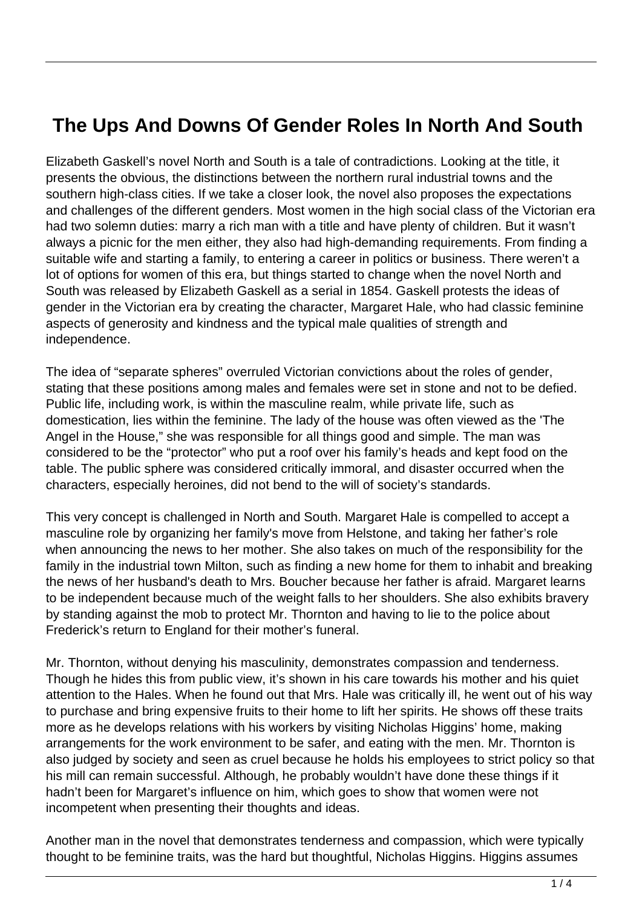## **The Ups And Downs Of Gender Roles In North And South**

Elizabeth Gaskell's novel North and South is a tale of contradictions. Looking at the title, it presents the obvious, the distinctions between the northern rural industrial towns and the southern high-class cities. If we take a closer look, the novel also proposes the expectations and challenges of the different genders. Most women in the high social class of the Victorian era had two solemn duties: marry a rich man with a title and have plenty of children. But it wasn't always a picnic for the men either, they also had high-demanding requirements. From finding a suitable wife and starting a family, to entering a career in politics or business. There weren't a lot of options for women of this era, but things started to change when the novel North and South was released by Elizabeth Gaskell as a serial in 1854. Gaskell protests the ideas of gender in the Victorian era by creating the character, Margaret Hale, who had classic feminine aspects of generosity and kindness and the typical male qualities of strength and independence.

The idea of "separate spheres" overruled Victorian convictions about the roles of gender, stating that these positions among males and females were set in stone and not to be defied. Public life, including work, is within the masculine realm, while private life, such as domestication, lies within the feminine. The lady of the house was often viewed as the 'The Angel in the House," she was responsible for all things good and simple. The man was considered to be the "protector" who put a roof over his family's heads and kept food on the table. The public sphere was considered critically immoral, and disaster occurred when the characters, especially heroines, did not bend to the will of society's standards.

This very concept is challenged in North and South. Margaret Hale is compelled to accept a masculine role by organizing her family's move from Helstone, and taking her father's role when announcing the news to her mother. She also takes on much of the responsibility for the family in the industrial town Milton, such as finding a new home for them to inhabit and breaking the news of her husband's death to Mrs. Boucher because her father is afraid. Margaret learns to be independent because much of the weight falls to her shoulders. She also exhibits bravery by standing against the mob to protect Mr. Thornton and having to lie to the police about Frederick's return to England for their mother's funeral.

Mr. Thornton, without denying his masculinity, demonstrates compassion and tenderness. Though he hides this from public view, it's shown in his care towards his mother and his quiet attention to the Hales. When he found out that Mrs. Hale was critically ill, he went out of his way to purchase and bring expensive fruits to their home to lift her spirits. He shows off these traits more as he develops relations with his workers by visiting Nicholas Higgins' home, making arrangements for the work environment to be safer, and eating with the men. Mr. Thornton is also judged by society and seen as cruel because he holds his employees to strict policy so that his mill can remain successful. Although, he probably wouldn't have done these things if it hadn't been for Margaret's influence on him, which goes to show that women were not incompetent when presenting their thoughts and ideas.

Another man in the novel that demonstrates tenderness and compassion, which were typically thought to be feminine traits, was the hard but thoughtful, Nicholas Higgins. Higgins assumes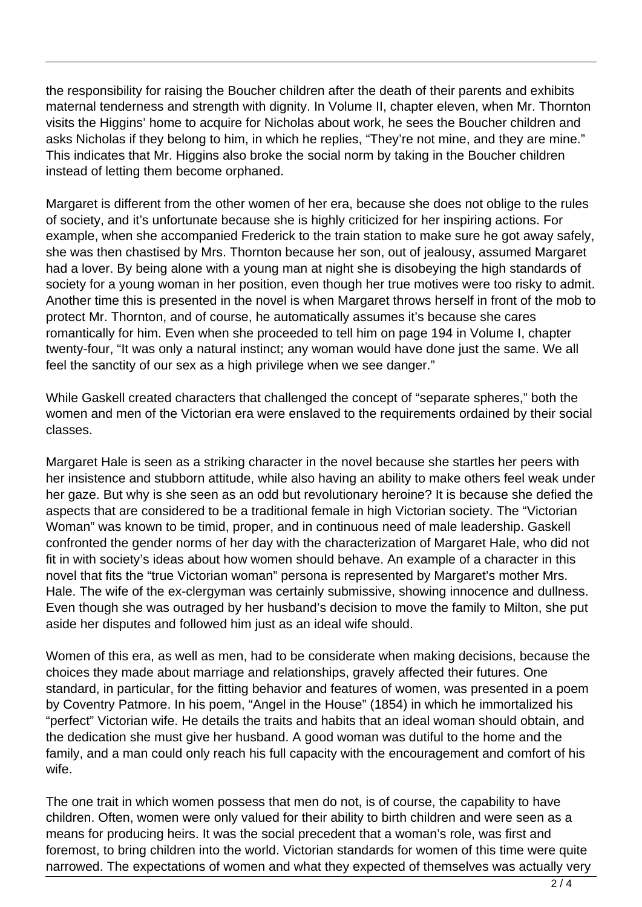the responsibility for raising the Boucher children after the death of their parents and exhibits maternal tenderness and strength with dignity. In Volume II, chapter eleven, when Mr. Thornton visits the Higgins' home to acquire for Nicholas about work, he sees the Boucher children and asks Nicholas if they belong to him, in which he replies, "They're not mine, and they are mine." This indicates that Mr. Higgins also broke the social norm by taking in the Boucher children instead of letting them become orphaned.

Margaret is different from the other women of her era, because she does not oblige to the rules of society, and it's unfortunate because she is highly criticized for her inspiring actions. For example, when she accompanied Frederick to the train station to make sure he got away safely, she was then chastised by Mrs. Thornton because her son, out of jealousy, assumed Margaret had a lover. By being alone with a young man at night she is disobeying the high standards of society for a young woman in her position, even though her true motives were too risky to admit. Another time this is presented in the novel is when Margaret throws herself in front of the mob to protect Mr. Thornton, and of course, he automatically assumes it's because she cares romantically for him. Even when she proceeded to tell him on page 194 in Volume I, chapter twenty-four, "It was only a natural instinct; any woman would have done just the same. We all feel the sanctity of our sex as a high privilege when we see danger."

While Gaskell created characters that challenged the concept of "separate spheres," both the women and men of the Victorian era were enslaved to the requirements ordained by their social classes.

Margaret Hale is seen as a striking character in the novel because she startles her peers with her insistence and stubborn attitude, while also having an ability to make others feel weak under her gaze. But why is she seen as an odd but revolutionary heroine? It is because she defied the aspects that are considered to be a traditional female in high Victorian society. The "Victorian Woman" was known to be timid, proper, and in continuous need of male leadership. Gaskell confronted the gender norms of her day with the characterization of Margaret Hale, who did not fit in with society's ideas about how women should behave. An example of a character in this novel that fits the "true Victorian woman" persona is represented by Margaret's mother Mrs. Hale. The wife of the ex-clergyman was certainly submissive, showing innocence and dullness. Even though she was outraged by her husband's decision to move the family to Milton, she put aside her disputes and followed him just as an ideal wife should.

Women of this era, as well as men, had to be considerate when making decisions, because the choices they made about marriage and relationships, gravely affected their futures. One standard, in particular, for the fitting behavior and features of women, was presented in a poem by Coventry Patmore. In his poem, "Angel in the House" (1854) in which he immortalized his "perfect" Victorian wife. He details the traits and habits that an ideal woman should obtain, and the dedication she must give her husband. A good woman was dutiful to the home and the family, and a man could only reach his full capacity with the encouragement and comfort of his wife.

The one trait in which women possess that men do not, is of course, the capability to have children. Often, women were only valued for their ability to birth children and were seen as a means for producing heirs. It was the social precedent that a woman's role, was first and foremost, to bring children into the world. Victorian standards for women of this time were quite narrowed. The expectations of women and what they expected of themselves was actually very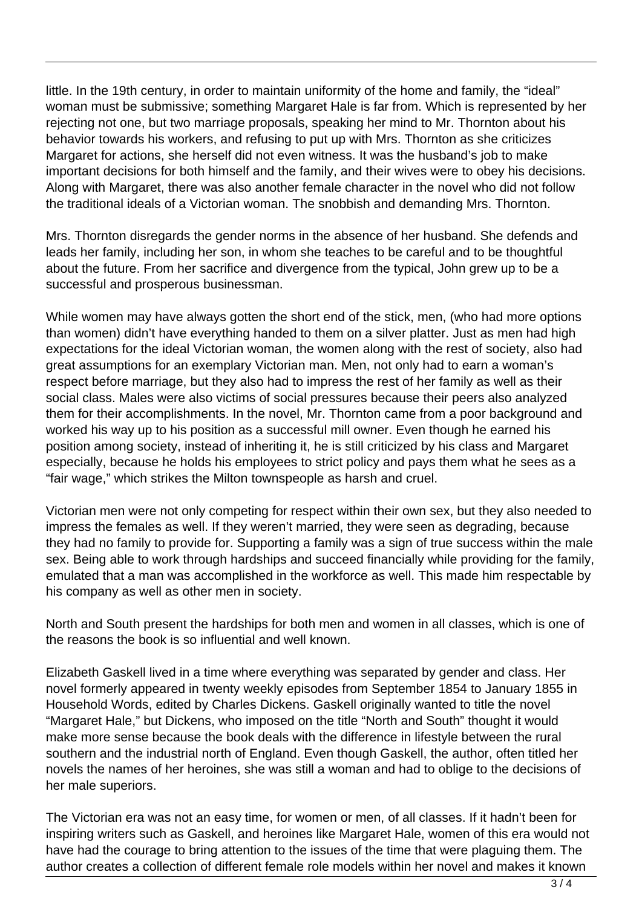little. In the 19th century, in order to maintain uniformity of the home and family, the "ideal" woman must be submissive; something Margaret Hale is far from. Which is represented by her rejecting not one, but two marriage proposals, speaking her mind to Mr. Thornton about his behavior towards his workers, and refusing to put up with Mrs. Thornton as she criticizes Margaret for actions, she herself did not even witness. It was the husband's job to make important decisions for both himself and the family, and their wives were to obey his decisions. Along with Margaret, there was also another female character in the novel who did not follow the traditional ideals of a Victorian woman. The snobbish and demanding Mrs. Thornton.

Mrs. Thornton disregards the gender norms in the absence of her husband. She defends and leads her family, including her son, in whom she teaches to be careful and to be thoughtful about the future. From her sacrifice and divergence from the typical, John grew up to be a successful and prosperous businessman.

While women may have always gotten the short end of the stick, men, (who had more options than women) didn't have everything handed to them on a silver platter. Just as men had high expectations for the ideal Victorian woman, the women along with the rest of society, also had great assumptions for an exemplary Victorian man. Men, not only had to earn a woman's respect before marriage, but they also had to impress the rest of her family as well as their social class. Males were also victims of social pressures because their peers also analyzed them for their accomplishments. In the novel, Mr. Thornton came from a poor background and worked his way up to his position as a successful mill owner. Even though he earned his position among society, instead of inheriting it, he is still criticized by his class and Margaret especially, because he holds his employees to strict policy and pays them what he sees as a "fair wage," which strikes the Milton townspeople as harsh and cruel.

Victorian men were not only competing for respect within their own sex, but they also needed to impress the females as well. If they weren't married, they were seen as degrading, because they had no family to provide for. Supporting a family was a sign of true success within the male sex. Being able to work through hardships and succeed financially while providing for the family, emulated that a man was accomplished in the workforce as well. This made him respectable by his company as well as other men in society.

North and South present the hardships for both men and women in all classes, which is one of the reasons the book is so influential and well known.

Elizabeth Gaskell lived in a time where everything was separated by gender and class. Her novel formerly appeared in twenty weekly episodes from September 1854 to January 1855 in Household Words, edited by Charles Dickens. Gaskell originally wanted to title the novel "Margaret Hale," but Dickens, who imposed on the title "North and South" thought it would make more sense because the book deals with the difference in lifestyle between the rural southern and the industrial north of England. Even though Gaskell, the author, often titled her novels the names of her heroines, she was still a woman and had to oblige to the decisions of her male superiors.

The Victorian era was not an easy time, for women or men, of all classes. If it hadn't been for inspiring writers such as Gaskell, and heroines like Margaret Hale, women of this era would not have had the courage to bring attention to the issues of the time that were plaguing them. The author creates a collection of different female role models within her novel and makes it known